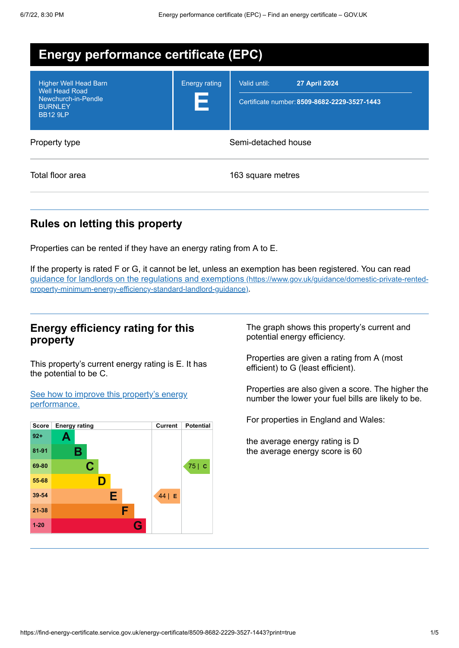| <b>Energy performance certificate (EPC)</b>                                                                       |                           |                                                                                      |
|-------------------------------------------------------------------------------------------------------------------|---------------------------|--------------------------------------------------------------------------------------|
| <b>Higher Well Head Barn</b><br><b>Well Head Road</b><br>Newchurch-in-Pendle<br><b>BURNLEY</b><br><b>BB12 9LP</b> | <b>Energy rating</b><br>E | Valid until:<br><b>27 April 2024</b><br>Certificate number: 8509-8682-2229-3527-1443 |
| Property type                                                                                                     |                           | Semi-detached house                                                                  |
| Total floor area                                                                                                  |                           | 163 square metres                                                                    |

## **Rules on letting this property**

Properties can be rented if they have an energy rating from A to E.

If the property is rated F or G, it cannot be let, unless an exemption has been registered. You can read guidance for landlords on the regulations and exemptions (https://www.gov.uk/guidance/domestic-private-rented[property-minimum-energy-efficiency-standard-landlord-guidance\)](https://www.gov.uk/guidance/domestic-private-rented-property-minimum-energy-efficiency-standard-landlord-guidance).

## **Energy efficiency rating for this property**

This property's current energy rating is E. It has the potential to be C.

See how to improve this property's energy [performance.](#page-2-0)



The graph shows this property's current and potential energy efficiency.

Properties are given a rating from A (most efficient) to G (least efficient).

Properties are also given a score. The higher the number the lower your fuel bills are likely to be.

For properties in England and Wales:

the average energy rating is D the average energy score is 60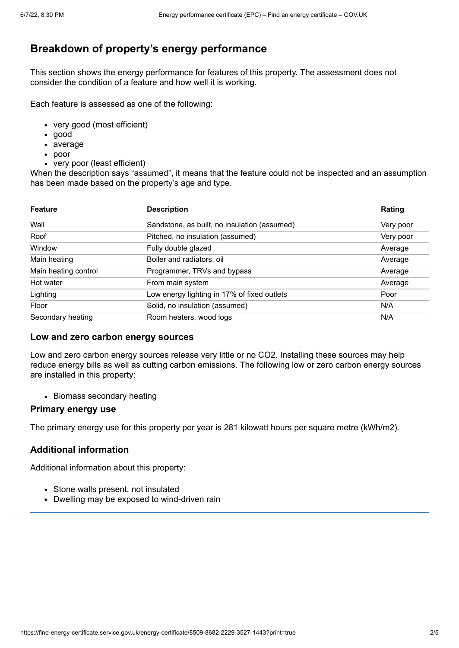# **Breakdown of property's energy performance**

This section shows the energy performance for features of this property. The assessment does not consider the condition of a feature and how well it is working.

Each feature is assessed as one of the following:

- very good (most efficient)
- good
- average
- poor
- very poor (least efficient)

When the description says "assumed", it means that the feature could not be inspected and an assumption has been made based on the property's age and type.

| <b>Feature</b>       | <b>Description</b>                           | Rating    |
|----------------------|----------------------------------------------|-----------|
| Wall                 | Sandstone, as built, no insulation (assumed) | Very poor |
| Roof                 | Pitched, no insulation (assumed)             | Very poor |
| Window               | Fully double glazed                          | Average   |
| Main heating         | Boiler and radiators, oil                    | Average   |
| Main heating control | Programmer, TRVs and bypass                  | Average   |
| Hot water            | From main system                             | Average   |
| Lighting             | Low energy lighting in 17% of fixed outlets  | Poor      |
| Floor                | Solid, no insulation (assumed)               | N/A       |
| Secondary heating    | Room heaters, wood logs                      | N/A       |

#### **Low and zero carbon energy sources**

Low and zero carbon energy sources release very little or no CO2. Installing these sources may help reduce energy bills as well as cutting carbon emissions. The following low or zero carbon energy sources are installed in this property:

• Biomass secondary heating

#### **Primary energy use**

The primary energy use for this property per year is 281 kilowatt hours per square metre (kWh/m2).

#### **Additional information**

Additional information about this property:

- Stone walls present, not insulated
- Dwelling may be exposed to wind-driven rain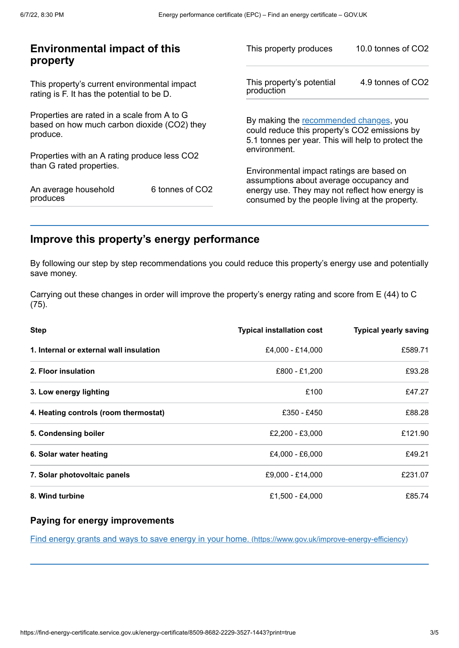| This property produces                                                                                                                        | 10.0 tonnes of CO2                                      |
|-----------------------------------------------------------------------------------------------------------------------------------------------|---------------------------------------------------------|
| This property's potential<br>production                                                                                                       | 4.9 tonnes of CO2                                       |
| By making the recommended changes, you<br>could reduce this property's CO2 emissions by<br>5.1 tonnes per year. This will help to protect the |                                                         |
|                                                                                                                                               |                                                         |
| Environmental impact ratings are based on                                                                                                     |                                                         |
| energy use. They may not reflect how energy is<br>consumed by the people living at the property.                                              |                                                         |
|                                                                                                                                               | environment.<br>assumptions about average occupancy and |

# <span id="page-2-0"></span>**Improve this property's energy performance**

By following our step by step recommendations you could reduce this property's energy use and potentially save money.

Carrying out these changes in order will improve the property's energy rating and score from E (44) to C (75).

| <b>Step</b>                             | <b>Typical installation cost</b> | <b>Typical yearly saving</b> |
|-----------------------------------------|----------------------------------|------------------------------|
| 1. Internal or external wall insulation | £4,000 - £14,000                 | £589.71                      |
| 2. Floor insulation                     | £800 - £1,200                    | £93.28                       |
| 3. Low energy lighting                  | £100                             | £47.27                       |
| 4. Heating controls (room thermostat)   | £350 - £450                      | £88.28                       |
| 5. Condensing boiler                    | £2,200 - £3,000                  | £121.90                      |
| 6. Solar water heating                  | £4,000 - £6,000                  | £49.21                       |
| 7. Solar photovoltaic panels            | £9,000 - £14,000                 | £231.07                      |
| 8. Wind turbine                         | £1,500 - £4,000                  | £85.74                       |

### **Paying for energy improvements**

Find energy grants and ways to save energy in your home. [\(https://www.gov.uk/improve-energy-efficiency\)](https://www.gov.uk/improve-energy-efficiency)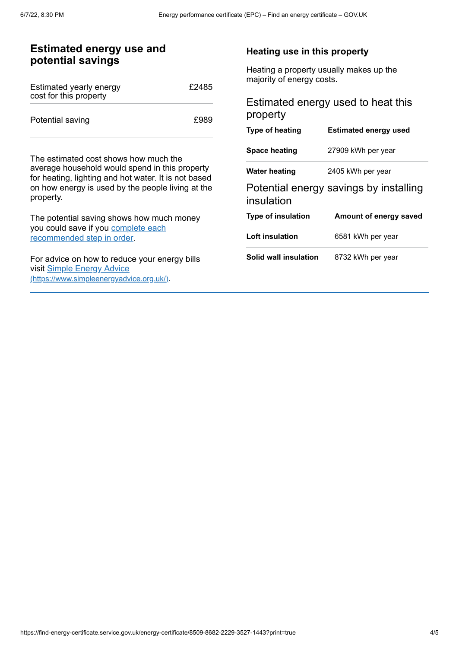| <b>Estimated energy use and</b> |  |
|---------------------------------|--|
| potential savings               |  |

| Estimated yearly energy<br>cost for this property | £2485 |
|---------------------------------------------------|-------|
| Potential saving                                  | £989  |

The estimated cost shows how much the average household would spend in this property for heating, lighting and hot water. It is not based on how energy is used by the people living at the property.

The potential saving shows how much money you could save if you complete each [recommended](#page-2-0) step in order.

For advice on how to reduce your energy bills visit Simple Energy Advice [\(https://www.simpleenergyadvice.org.uk/\)](https://www.simpleenergyadvice.org.uk/).

#### **Heating use in this property**

Heating a property usually makes up the majority of energy costs.

## Estimated energy used to heat this property

| <b>Type of heating</b>    | <b>Estimated energy used</b>           |
|---------------------------|----------------------------------------|
| <b>Space heating</b>      | 27909 kWh per year                     |
| Water heating             | 2405 kWh per year                      |
| insulation                | Potential energy savings by installing |
| <b>Type of insulation</b> | Amount of energy saved                 |
| Loft insulation           | 6581 kWh per year                      |
| Solid wall insulation     | 8732 kWh per year                      |